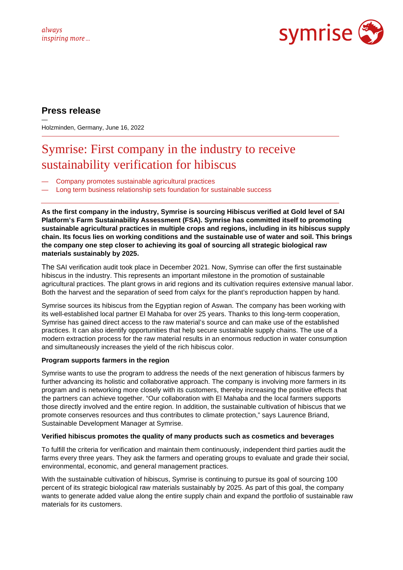

## **Press release**

— Holzminden, Germany, June 16, 2022

# Symrise: First company in the industry to receive sustainability verification for hibiscus

- Company promotes sustainable agricultural practices
- Long term business relationship sets foundation for sustainable success

**As the first company in the industry, Symrise is sourcing Hibiscus verified at Gold level of SAI Platform's Farm Sustainability Assessment (FSA). Symrise has committed itself to promoting sustainable agricultural practices in multiple crops and regions, including in its hibiscus supply chain. Its focus lies on working conditions and the sustainable use of water and soil. This brings the company one step closer to achieving its goal of sourcing all strategic biological raw materials sustainably by 2025.** 

The SAI verification audit took place in December 2021. Now, Symrise can offer the first sustainable hibiscus in the industry. This represents an important milestone in the promotion of sustainable agricultural practices. The plant grows in arid regions and its cultivation requires extensive manual labor. Both the harvest and the separation of seed from calyx for the plant's reproduction happen by hand.

Symrise sources its hibiscus from the Egyptian region of Aswan. The company has been working with its well-established local partner El Mahaba for over 25 years. Thanks to this long-term cooperation, Symrise has gained direct access to the raw material's source and can make use of the established practices. It can also identify opportunities that help secure sustainable supply chains. The use of a modern extraction process for the raw material results in an enormous reduction in water consumption and simultaneously increases the yield of the rich hibiscus color.

### **Program supports farmers in the region**

Symrise wants to use the program to address the needs of the next generation of hibiscus farmers by further advancing its holistic and collaborative approach. The company is involving more farmers in its program and is networking more closely with its customers, thereby increasing the positive effects that the partners can achieve together. "Our collaboration with El Mahaba and the local farmers supports those directly involved and the entire region. In addition, the sustainable cultivation of hibiscus that we promote conserves resources and thus contributes to climate protection," says Laurence Briand, Sustainable Development Manager at Symrise.

### **Verified hibiscus promotes the quality of many products such as cosmetics and beverages**

To fulfill the criteria for verification and maintain them continuously, independent third parties audit the farms every three years. They ask the farmers and operating groups to evaluate and grade their social, environmental, economic, and general management practices.

With the sustainable cultivation of hibiscus, Symrise is continuing to pursue its goal of sourcing 100 percent of its strategic biological raw materials sustainably by 2025. As part of this goal, the company wants to generate added value along the entire supply chain and expand the portfolio of sustainable raw materials for its customers.